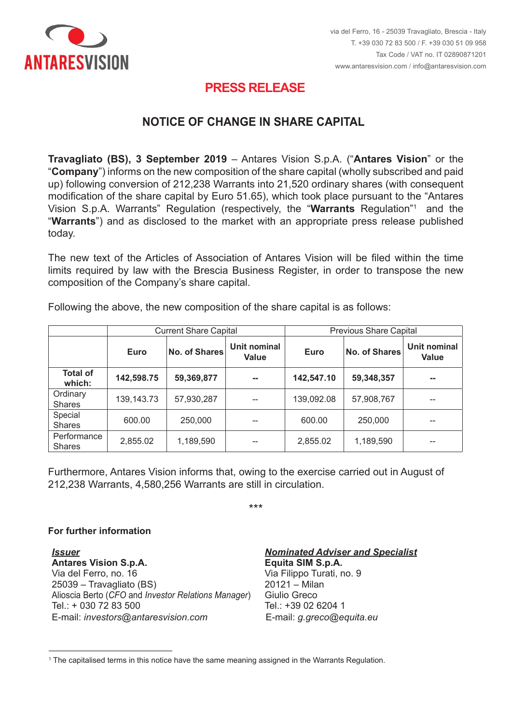

## **PRESS RELEASE PRESS RELEASE**

## <code>NOTICE OF CHANGE</code> IN SHARE CAPITAL

**Travagliato (BS), 3 September 2019** – Antares Vision S.p.A. ("Antares Vision" or the "Company") informs on the new composition of the share capital (wholly subscribed and paid up) following conversion of 212.238 Warrants into 21.520 ordinary shares (with consequent modification of the share capital by Euro 51.65), which took place pursuant to the "Antares Vision S.p.A. Warrants" Regulation (respectively, the "Warrants Regulation"<sup>1</sup> and the Vision S.p.A. Warrants" Regulation (respectively, the "**Warrants** Regulation"<sup>,</sup> and the<br>"**Warrants**") and as disclosed to the market with an appropriate press release published today. **Travagliato (BS), 3 September 2019** – Antares Vision S.p.A. ("**Antares Vision**" or the<br>"**Company**") informs on the new composition of the share capital (wholly subscribed and paid<br>up) following conversion of 212,238 Warra

The new text of the Articles of Association of Antares Vision will be filed within the time limits required by law with the Brescia Business Register, in order to transpose the new<br>composition of the Company's share capital. composition of the Company's share capital.

|                              | <b>Current Share Capital</b> |                      |                       | <b>Previous Share Capital</b> |                      |                       |
|------------------------------|------------------------------|----------------------|-----------------------|-------------------------------|----------------------|-----------------------|
|                              | <b>Euro</b>                  | <b>No. of Shares</b> | Unit nominal<br>Value | <b>Euro</b>                   | <b>No. of Shares</b> | Unit nominal<br>Value |
| <b>Total of</b><br>which:    | 142,598.75                   | 59,369,877           | --                    | 142,547.10                    | 59,348,357           | --                    |
| Ordinary<br><b>Shares</b>    | 139, 143. 73                 | 57,930,287           | --                    | 139,092.08                    | 57,908,767           |                       |
| Special<br><b>Shares</b>     | 600.00                       | 250,000              |                       | 600.00                        | 250,000              |                       |
| Performance<br><b>Shares</b> | 2,855.02                     | 1,189,590            |                       | 2,855.02                      | 1,189,590            | --                    |

Following the above, the new composition of the share capital is as follows:

212,238 Warrants, 4,580,256 Warrants are still in circulation. Furthermore, Antares Vision informs that, owing to the exercise carried out in August of

\*\*\*

## **For further information**

**Per maggiori informazioni**  *Emittente*  **Antares Vision S.p.A. Equita SIM S.p.A.** Via del Ferro, no. 16 Via del Ferro, n. 16 25039 – Travagliato (BS) 20121 – Milan Alioscia Berto (*CFO* and *Investor Relations Manager*) Giulio Greco Alioscia Berto (*CFO* e *Investor Relator*) Tel.: + 030 72 83 500 Tel.: +39 02 6204 1 E-mail: *investors@antaresvision.com* E-mail: *g.greco@equita.eu* Via del Ferro, no. 16 *Via Filippo Turati, no.* 9 Via Filippo Turati, no. 9 *Issuer Nominated Adviser and Specialist*

**Equita SIM S.p.A.**  $20121 -$ Milan Giulio Greco Tel.:  $+390262041$ E-mail: g.greco@equita.eu

<sup>&</sup>lt;u>.</u>  $^{\rm 1}$  The capitalised terms in this notice have the same meaning assigned in the Warrants Regulation.